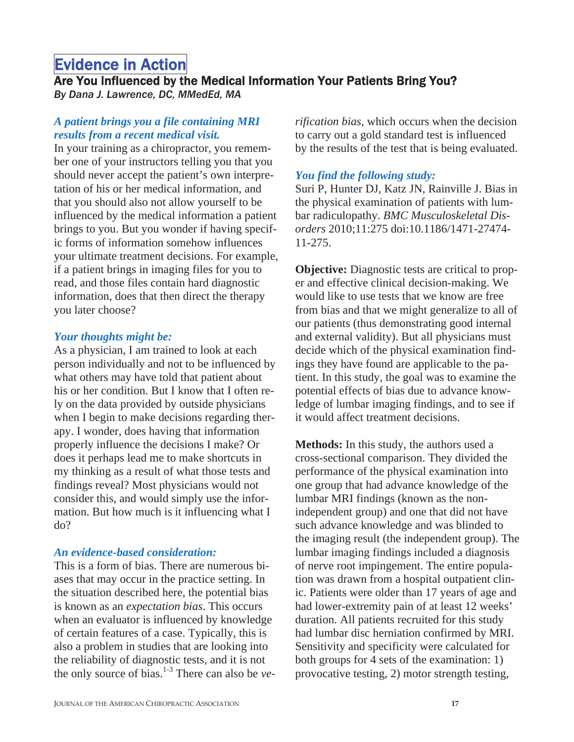# **Evidence in Action Are You Are You Information Your Patients Bring You?**<br>Are You Influenced by the Medical Information Your Patients Bring You?

*By Dana J. Lawrence, DC, MMedEd, MA* 

### *A patient brings you a file containing MRI results from a recent medical visit.*

In your training as a chiropractor, you remember one of your instructors telling you that you should never accept the patient's own interpretation of his or her medical information, and that you should also not allow yourself to be influenced by the medical information a patient brings to you. But you wonder if having specific forms of information somehow influences your ultimate treatment decisions. For example, if a patient brings in imaging files for you to read, and those files contain hard diagnostic information, does that then direct the therapy you later choose?

### *Your thoughts might be:*

As a physician, I am trained to look at each person individually and not to be influenced by what others may have told that patient about his or her condition. But I know that I often rely on the data provided by outside physicians when I begin to make decisions regarding therapy. I wonder, does having that information properly influence the decisions I make? Or does it perhaps lead me to make shortcuts in my thinking as a result of what those tests and findings reveal? Most physicians would not consider this, and would simply use the information. But how much is it influencing what I do?

# *An evidence-based consideration:*

This is a form of bias. There are numerous biases that may occur in the practice setting. In the situation described here, the potential bias is known as an *expectation bias*. This occurs when an evaluator is influenced by knowledge of certain features of a case. Typically, this is also a problem in studies that are looking into the reliability of diagnostic tests, and it is not the only source of bias.1-3 There can also be *ve-* *rification bias*, which occurs when the decision to carry out a gold standard test is influenced by the results of the test that is being evaluated.

# *You find the following study:*

Suri P, Hunter DJ, Katz JN, Rainville J. Bias in the physical examination of patients with lumbar radiculopathy. *BMC Musculoskeletal Disorders* 2010;11:275 doi:10.1186/1471-27474- 11-275.

**Objective:** Diagnostic tests are critical to proper and effective clinical decision-making. We would like to use tests that we know are free from bias and that we might generalize to all of our patients (thus demonstrating good internal and external validity). But all physicians must decide which of the physical examination findings they have found are applicable to the patient. In this study, the goal was to examine the potential effects of bias due to advance knowledge of lumbar imaging findings, and to see if it would affect treatment decisions.

**Methods:** In this study, the authors used a cross-sectional comparison. They divided the performance of the physical examination into one group that had advance knowledge of the lumbar MRI findings (known as the nonindependent group) and one that did not have such advance knowledge and was blinded to the imaging result (the independent group). The lumbar imaging findings included a diagnosis of nerve root impingement. The entire population was drawn from a hospital outpatient clinic. Patients were older than 17 years of age and had lower-extremity pain of at least 12 weeks' duration. All patients recruited for this study had lumbar disc herniation confirmed by MRI. Sensitivity and specificity were calculated for both groups for 4 sets of the examination: 1) provocative testing, 2) motor strength testing,